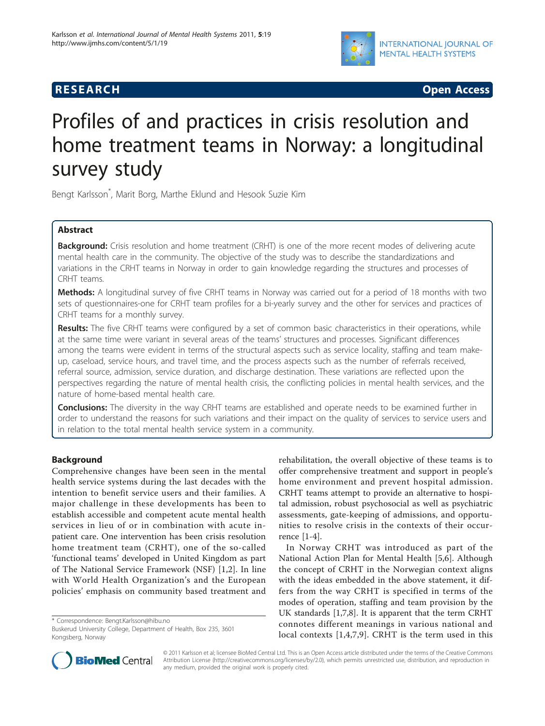

**RESEARCH CONSTRUCTION CONSTRUCTS** 

# Profiles of and practices in crisis resolution and home treatment teams in Norway: a longitudinal survey study

Bengt Karlsson\* , Marit Borg, Marthe Eklund and Hesook Suzie Kim

# Abstract

Background: Crisis resolution and home treatment (CRHT) is one of the more recent modes of delivering acute mental health care in the community. The objective of the study was to describe the standardizations and variations in the CRHT teams in Norway in order to gain knowledge regarding the structures and processes of CRHT teams.

Methods: A longitudinal survey of five CRHT teams in Norway was carried out for a period of 18 months with two sets of questionnaires-one for CRHT team profiles for a bi-yearly survey and the other for services and practices of CRHT teams for a monthly survey.

Results: The five CRHT teams were configured by a set of common basic characteristics in their operations, while at the same time were variant in several areas of the teams' structures and processes. Significant differences among the teams were evident in terms of the structural aspects such as service locality, staffing and team makeup, caseload, service hours, and travel time, and the process aspects such as the number of referrals received, referral source, admission, service duration, and discharge destination. These variations are reflected upon the perspectives regarding the nature of mental health crisis, the conflicting policies in mental health services, and the nature of home-based mental health care.

**Conclusions:** The diversity in the way CRHT teams are established and operate needs to be examined further in order to understand the reasons for such variations and their impact on the quality of services to service users and in relation to the total mental health service system in a community.

# **Background**

Comprehensive changes have been seen in the mental health service systems during the last decades with the intention to benefit service users and their families. A major challenge in these developments has been to establish accessible and competent acute mental health services in lieu of or in combination with acute inpatient care. One intervention has been crisis resolution home treatment team (CRHT), one of the so-called 'functional teams' developed in United Kingdom as part of The National Service Framework (NSF) [[1,2](#page-10-0)]. In line with World Health Organization's and the European policies' emphasis on community based treatment and

rehabilitation, the overall objective of these teams is to offer comprehensive treatment and support in people's home environment and prevent hospital admission. CRHT teams attempt to provide an alternative to hospital admission, robust psychosocial as well as psychiatric assessments, gate-keeping of admissions, and opportunities to resolve crisis in the contexts of their occurrence [\[1](#page-10-0)-[4\]](#page-10-0).

In Norway CRHT was introduced as part of the National Action Plan for Mental Health [[5,6\]](#page-10-0). Although the concept of CRHT in the Norwegian context aligns with the ideas embedded in the above statement, it differs from the way CRHT is specified in terms of the modes of operation, staffing and team provision by the UK standards [\[1,7,8](#page-10-0)]. It is apparent that the term CRHT connotes different meanings in various national and local contexts [[1,4,7](#page-10-0),[9\]](#page-10-0). CRHT is the term used in this



© 2011 Karlsson et al; licensee BioMed Central Ltd. This is an Open Access article distributed under the terms of the Creative Commons Attribution License [\(http://creativecommons.org/licenses/by/2.0](http://creativecommons.org/licenses/by/2.0)), which permits unrestricted use, distribution, and reproduction in any medium, provided the original work is properly cited.

<sup>\*</sup> Correspondence: [Bengt.Karlsson@hibu.no](mailto:Bengt.Karlsson@hibu.no)

Buskerud University College, Department of Health, Box 235, 3601 Kongsberg, Norway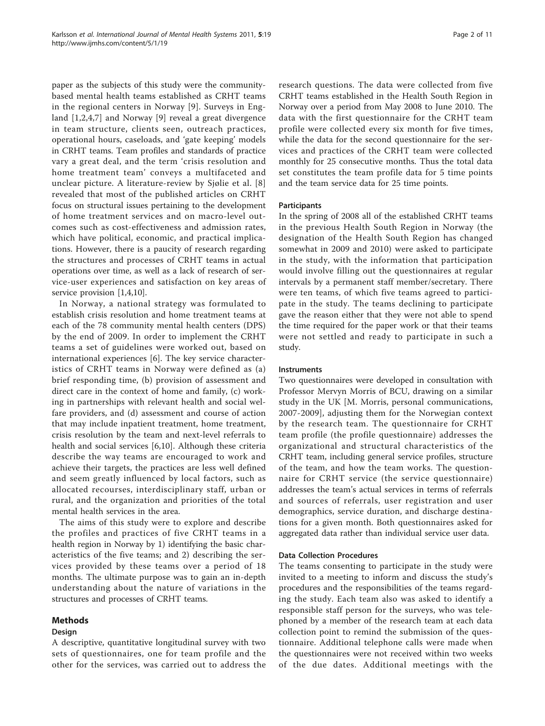paper as the subjects of this study were the communitybased mental health teams established as CRHT teams in the regional centers in Norway [[9\]](#page-10-0). Surveys in England [[1,2,4,7\]](#page-10-0) and Norway [\[9](#page-10-0)] reveal a great divergence in team structure, clients seen, outreach practices, operational hours, caseloads, and 'gate keeping' models in CRHT teams. Team profiles and standards of practice vary a great deal, and the term 'crisis resolution and home treatment team' conveys a multifaceted and unclear picture. A literature-review by Sjølie et al. [[8](#page-10-0)] revealed that most of the published articles on CRHT focus on structural issues pertaining to the development of home treatment services and on macro-level outcomes such as cost-effectiveness and admission rates, which have political, economic, and practical implications. However, there is a paucity of research regarding the structures and processes of CRHT teams in actual operations over time, as well as a lack of research of service-user experiences and satisfaction on key areas of service provision [[1,4,10](#page-10-0)].

In Norway, a national strategy was formulated to establish crisis resolution and home treatment teams at each of the 78 community mental health centers (DPS) by the end of 2009. In order to implement the CRHT teams a set of guidelines were worked out, based on international experiences [\[6\]](#page-10-0). The key service characteristics of CRHT teams in Norway were defined as (a) brief responding time, (b) provision of assessment and direct care in the context of home and family, (c) working in partnerships with relevant health and social welfare providers, and (d) assessment and course of action that may include inpatient treatment, home treatment, crisis resolution by the team and next-level referrals to health and social services [[6,10\]](#page-10-0). Although these criteria describe the way teams are encouraged to work and achieve their targets, the practices are less well defined and seem greatly influenced by local factors, such as allocated recourses, interdisciplinary staff, urban or rural, and the organization and priorities of the total mental health services in the area.

The aims of this study were to explore and describe the profiles and practices of five CRHT teams in a health region in Norway by 1) identifying the basic characteristics of the five teams; and 2) describing the services provided by these teams over a period of 18 months. The ultimate purpose was to gain an in-depth understanding about the nature of variations in the structures and processes of CRHT teams.

# Methods

### Design

A descriptive, quantitative longitudinal survey with two sets of questionnaires, one for team profile and the other for the services, was carried out to address the research questions. The data were collected from five CRHT teams established in the Health South Region in Norway over a period from May 2008 to June 2010. The data with the first questionnaire for the CRHT team profile were collected every six month for five times, while the data for the second questionnaire for the services and practices of the CRHT team were collected monthly for 25 consecutive months. Thus the total data set constitutes the team profile data for 5 time points and the team service data for 25 time points.

#### Participants

In the spring of 2008 all of the established CRHT teams in the previous Health South Region in Norway (the designation of the Health South Region has changed somewhat in 2009 and 2010) were asked to participate in the study, with the information that participation would involve filling out the questionnaires at regular intervals by a permanent staff member/secretary. There were ten teams, of which five teams agreed to participate in the study. The teams declining to participate gave the reason either that they were not able to spend the time required for the paper work or that their teams were not settled and ready to participate in such a study.

#### Instruments

Two questionnaires were developed in consultation with Professor Mervyn Morris of BCU, drawing on a similar study in the UK [M. Morris, personal communications, 2007-2009], adjusting them for the Norwegian context by the research team. The questionnaire for CRHT team profile (the profile questionnaire) addresses the organizational and structural characteristics of the CRHT team, including general service profiles, structure of the team, and how the team works. The questionnaire for CRHT service (the service questionnaire) addresses the team's actual services in terms of referrals and sources of referrals, user registration and user demographics, service duration, and discharge destinations for a given month. Both questionnaires asked for aggregated data rather than individual service user data.

#### Data Collection Procedures

The teams consenting to participate in the study were invited to a meeting to inform and discuss the study's procedures and the responsibilities of the teams regarding the study. Each team also was asked to identify a responsible staff person for the surveys, who was telephoned by a member of the research team at each data collection point to remind the submission of the questionnaire. Additional telephone calls were made when the questionnaires were not received within two weeks of the due dates. Additional meetings with the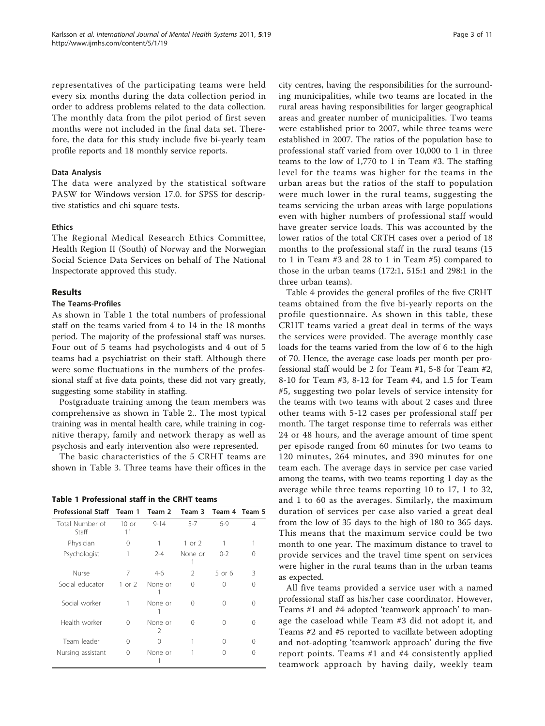representatives of the participating teams were held every six months during the data collection period in order to address problems related to the data collection. The monthly data from the pilot period of first seven months were not included in the final data set. Therefore, the data for this study include five bi-yearly team profile reports and 18 monthly service reports.

# Data Analysis

The data were analyzed by the statistical software PASW for Windows version 17.0. for SPSS for descriptive statistics and chi square tests.

# **Ethics**

The Regional Medical Research Ethics Committee, Health Region II (South) of Norway and the Norwegian Social Science Data Services on behalf of The National Inspectorate approved this study.

# Results

# The Teams-Profiles

As shown in Table 1 the total numbers of professional staff on the teams varied from 4 to 14 in the 18 months period. The majority of the professional staff was nurses. Four out of 5 teams had psychologists and 4 out of 5 teams had a psychiatrist on their staff. Although there were some fluctuations in the numbers of the professional staff at five data points, these did not vary greatly, suggesting some stability in staffing.

Postgraduate training among the team members was comprehensive as shown in Table [2](#page-3-0).. The most typical training was in mental health care, while training in cognitive therapy, family and network therapy as well as psychosis and early intervention also were represented.

The basic characteristics of the 5 CRHT teams are shown in Table [3.](#page-3-0) Three teams have their offices in the

| Table 1 Professional staff in the CRHT teams |  |  |  |
|----------------------------------------------|--|--|--|
|----------------------------------------------|--|--|--|

| <b>Professional Staff</b> |                        | Team 1 Team 2 |               | Team 3 Team 4 Team 5 |     |
|---------------------------|------------------------|---------------|---------------|----------------------|-----|
| Total Number of<br>Staff  | 10 <sub>or</sub><br>11 | $9 - 14$      | $5 - 7$       | $6-9$                | 4   |
| Physician                 | 0                      |               | 1 or 2        |                      |     |
| Psychologist              |                        | $2 - 4$       | None or       | $O-2$                | ( ) |
| Nurse                     | 7                      | $4-6$         | $\mathcal{P}$ | 5 or 6               | 3   |
| Social educator           | $1$ or $2$             | None or       | ∩             | Ω                    | Λ   |
| Social worker             | 1                      | None or       | ∩             |                      | ( ) |
| Health worker             | 0                      | None or<br>2  | ∩             |                      |     |
| Team leader               | Ω                      | ( )           |               |                      |     |
| Nursing assistant         | 0                      | None or       |               |                      |     |

city centres, having the responsibilities for the surrounding municipalities, while two teams are located in the rural areas having responsibilities for larger geographical areas and greater number of municipalities. Two teams were established prior to 2007, while three teams were established in 2007. The ratios of the population base to professional staff varied from over 10,000 to 1 in three teams to the low of 1,770 to 1 in Team #3. The staffing level for the teams was higher for the teams in the urban areas but the ratios of the staff to population were much lower in the rural teams, suggesting the teams servicing the urban areas with large populations even with higher numbers of professional staff would have greater service loads. This was accounted by the lower ratios of the total CRTH cases over a period of 18 months to the professional staff in the rural teams (15 to 1 in Team #3 and 28 to 1 in Team #5) compared to those in the urban teams (172:1, 515:1 and 298:1 in the three urban teams).

Table [4](#page-4-0) provides the general profiles of the five CRHT teams obtained from the five bi-yearly reports on the profile questionnaire. As shown in this table, these CRHT teams varied a great deal in terms of the ways the services were provided. The average monthly case loads for the teams varied from the low of 6 to the high of 70. Hence, the average case loads per month per professional staff would be 2 for Team #1, 5-8 for Team #2, 8-10 for Team #3, 8-12 for Team #4, and 1.5 for Team #5, suggesting two polar levels of service intensity for the teams with two teams with about 2 cases and three other teams with 5-12 cases per professional staff per month. The target response time to referrals was either 24 or 48 hours, and the average amount of time spent per episode ranged from 60 minutes for two teams to 120 minutes, 264 minutes, and 390 minutes for one team each. The average days in service per case varied among the teams, with two teams reporting 1 day as the average while three teams reporting 10 to 17, 1 to 32, and 1 to 60 as the averages. Similarly, the maximum duration of services per case also varied a great deal from the low of 35 days to the high of 180 to 365 days. This means that the maximum service could be two month to one year. The maximum distance to travel to provide services and the travel time spent on services were higher in the rural teams than in the urban teams as expected.

All five teams provided a service user with a named professional staff as his/her case coordinator. However, Teams #1 and #4 adopted 'teamwork approach' to manage the caseload while Team #3 did not adopt it, and Teams #2 and #5 reported to vacillate between adopting and not-adopting 'teamwork approach' during the five report points. Teams #1 and #4 consistently applied teamwork approach by having daily, weekly team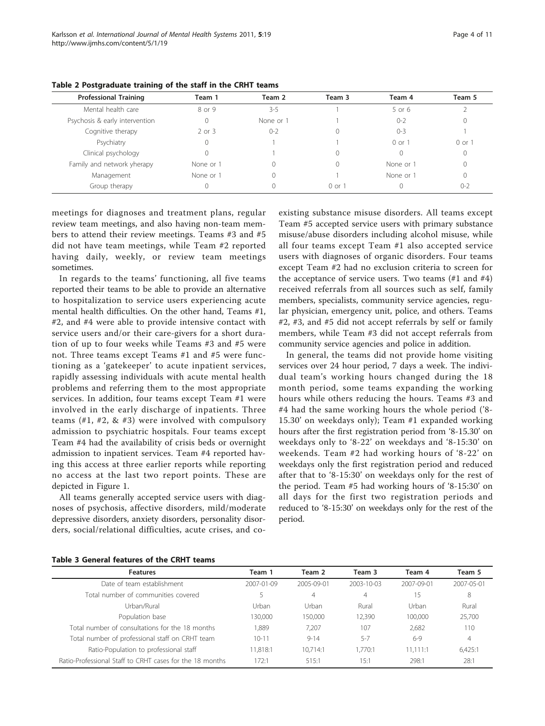| <b>Professional Training</b>   | Team 1     | Team 2    | Team 3            | Team 4            | Team 5     |
|--------------------------------|------------|-----------|-------------------|-------------------|------------|
| Mental health care             | 8 or 9     | $3 - 5$   |                   | 5 or 6            |            |
| Psychosis & early intervention | 0          | None or 1 |                   | $() - ?$          |            |
| Cognitive therapy              | $2$ or $3$ | $() - ?$  | $\left( \right)$  | $0 - 3$           |            |
| Psychiatry                     | 0          |           |                   | $0 \text{ or } 1$ | $0$ or $1$ |
| Clinical psychology            |            |           | U                 |                   |            |
| Family and network yherapy     | None or 1  |           | 0                 | None or 1         |            |
| Management                     | None or 1  |           |                   | None or 1         |            |
| Group therapy                  |            |           | $0 \text{ or } 1$ |                   | 0-2        |
|                                |            |           |                   |                   |            |

<span id="page-3-0"></span>Table 2 Postgraduate training of the staff in the CRHT teams

meetings for diagnoses and treatment plans, regular review team meetings, and also having non-team members to attend their review meetings. Teams #3 and #5 did not have team meetings, while Team #2 reported having daily, weekly, or review team meetings sometimes.

In regards to the teams' functioning, all five teams reported their teams to be able to provide an alternative to hospitalization to service users experiencing acute mental health difficulties. On the other hand, Teams #1, #2, and #4 were able to provide intensive contact with service users and/or their care-givers for a short duration of up to four weeks while Teams #3 and #5 were not. Three teams except Teams #1 and #5 were functioning as a 'gatekeeper' to acute inpatient services, rapidly assessing individuals with acute mental health problems and referring them to the most appropriate services. In addition, four teams except Team #1 were involved in the early discharge of inpatients. Three teams  $(\#1, \#2, \& \#3)$  were involved with compulsory admission to psychiatric hospitals. Four teams except Team #4 had the availability of crisis beds or overnight admission to inpatient services. Team #4 reported having this access at three earlier reports while reporting no access at the last two report points. These are depicted in Figure [1](#page-4-0).

All teams generally accepted service users with diagnoses of psychosis, affective disorders, mild/moderate depressive disorders, anxiety disorders, personality disorders, social/relational difficulties, acute crises, and coexisting substance misuse disorders. All teams except Team #5 accepted service users with primary substance misuse/abuse disorders including alcohol misuse, while all four teams except Team #1 also accepted service users with diagnoses of organic disorders. Four teams except Team #2 had no exclusion criteria to screen for the acceptance of service users. Two teams  $(\#1 \text{ and } \#4)$ received referrals from all sources such as self, family members, specialists, community service agencies, regular physician, emergency unit, police, and others. Teams #2, #3, and #5 did not accept referrals by self or family members, while Team #3 did not accept referrals from community service agencies and police in addition.

In general, the teams did not provide home visiting services over 24 hour period, 7 days a week. The individual team's working hours changed during the 18 month period, some teams expanding the working hours while others reducing the hours. Teams #3 and #4 had the same working hours the whole period ('8- 15.30' on weekdays only); Team #1 expanded working hours after the first registration period from '8-15.30' on weekdays only to '8-22' on weekdays and '8-15:30' on weekends. Team #2 had working hours of '8-22' on weekdays only the first registration period and reduced after that to '8-15:30' on weekdays only for the rest of the period. Team #5 had working hours of '8-15:30' on all days for the first two registration periods and reduced to '8-15:30' on weekdays only for the rest of the period.

#### Table 3 General features of the CRHT teams

| <b>Features</b>                                          | Team 1           | Team 2         | Team 3     | Team 4     | Team 5         |
|----------------------------------------------------------|------------------|----------------|------------|------------|----------------|
| Date of team establishment                               | $2007 - 01 - 09$ | 2005-09-01     | 2003-10-03 | 2007-09-01 | 2007-05-01     |
| Total number of communities covered                      |                  | $\overline{4}$ |            | 15         | 8              |
| Urban/Rural                                              | Urban            | Urban          | Rural      | Urban      | Rural          |
| Population base                                          | 130,000          | 150.000        | 12.390     | 100,000    | 25,700         |
| Total number of consultations for the 18 months          | 1.889            | 7.207          | 107        | 2.682      | 110            |
| Total number of professional staff on CRHT team          | $10 - 11$        | $9 - 14$       | $5 - 7$    | $6-9$      | $\overline{4}$ |
| Ratio-Population to professional staff                   | 11.818:1         | 10.714:1       | 1.770:1    | 11.111:1   | 6,425:1        |
| Ratio-Professional Staff to CRHT cases for the 18 months | 172:1            | 515:1          | 15:1       | 298:1      | 28:1           |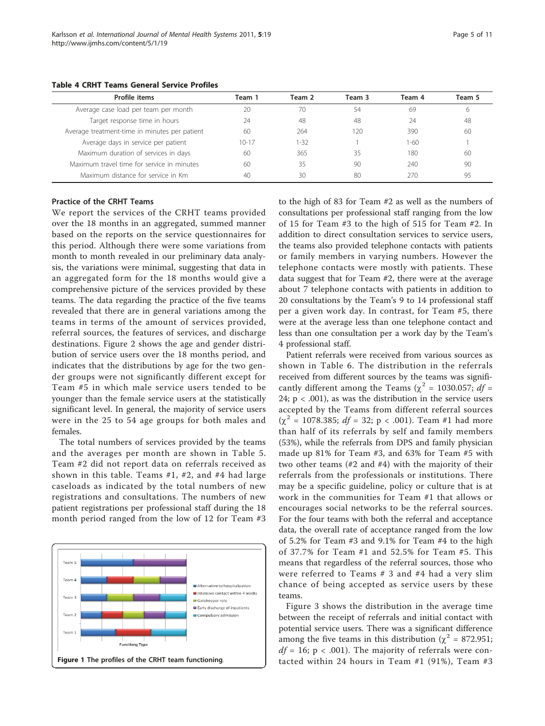<span id="page-4-0"></span>

| <b>Table 4 CRHT Teams General Service Profiles</b> |  |  |
|----------------------------------------------------|--|--|
|                                                    |  |  |

| Page 5 of 11 |  |  |
|--------------|--|--|
|              |  |  |

| Profile items                                 | Team 1 | Team 2 | Team 3 | Team 4 | Team 5 |
|-----------------------------------------------|--------|--------|--------|--------|--------|
| Average case load per team per month          | 20     | 70     | 54     | 69     |        |
| Target response time in hours                 | 24     | 48     | 48     | 24     | 48     |
| Average treatment-time in minutes per patient | -60    | 264    | 120    | 390    | 60     |
| Average days in service per patient           | 10-1   | 1-32   |        | 1-60   |        |
| Maximum duration of services in days          | 60     | 365    | 35     | 180    | 60     |
| Maximum travel time for service in minutes    | 60     | 35     | 90     | 240    | 90     |
| Maximum distance for service in Km            | 4()    | 30     | 80     | 27C    | 95     |

### Practice of the CRHT Teams

We report the services of the CRHT teams provided over the 18 months in an aggregated, summed manner based on the reports on the service questionnaires for this period. Although there were some variations from month to month revealed in our preliminary data analysis, the variations were minimal, suggesting that data in an aggregated form for the 18 months would give a comprehensive picture of the services provided by these teams. The data regarding the practice of the five teams revealed that there are in general variations among the teams in terms of the amount of services provided, referral sources, the features of services, and discharge destinations. Figure [2](#page-5-0) shows the age and gender distribution of service users over the 18 months period, and indicates that the distributions by age for the two gender groups were not significantly different except for Team #5 in which male service users tended to be younger than the female service users at the statistically significant level. In general, the majority of service users were in the 25 to 54 age groups for both males and females.

The total numbers of services provided by the teams and the averages per month are shown in Table [5](#page-5-0). Team #2 did not report data on referrals received as shown in this table. Teams #1, #2, and #4 had large caseloads as indicated by the total numbers of new registrations and consultations. The numbers of new patient registrations per professional staff during the 18 month period ranged from the low of 12 for Team #3



to the high of 83 for Team #2 as well as the numbers of consultations per professional staff ranging from the low of 15 for Team #3 to the high of 515 for Team #2. In addition to direct consultation services to service users, the teams also provided telephone contacts with patients or family members in varying numbers. However the telephone contacts were mostly with patients. These data suggest that for Team #2, there were at the average about 7 telephone contacts with patients in addition to 20 consultations by the Team's 9 to 14 professional staff per a given work day. In contrast, for Team #5, there were at the average less than one telephone contact and less than one consultation per a work day by the Team's 4 professional staff.

Patient referrals were received from various sources as shown in Table [6.](#page-6-0) The distribution in the referrals received from different sources by the teams was significantly different among the Teams ( $\chi^2$  = 1030.057; *df* = 24;  $p < .001$ ), as was the distribution in the service users accepted by the Teams from different referral sources  $(\chi^2 = 1078.385; df = 32; p < .001)$ . Team #1 had more than half of its referrals by self and family members (53%), while the referrals from DPS and family physician made up 81% for Team #3, and 63% for Team #5 with two other teams (#2 and #4) with the majority of their referrals from the professionals or institutions. There may be a specific guideline, policy or culture that is at work in the communities for Team #1 that allows or encourages social networks to be the referral sources. For the four teams with both the referral and acceptance data, the overall rate of acceptance ranged from the low of 5.2% for Team #3 and 9.1% for Team #4 to the high of 37.7% for Team #1 and 52.5% for Team #5. This means that regardless of the referral sources, those who were referred to Teams # 3 and #4 had a very slim chance of being accepted as service users by these teams.

Figure [3](#page-6-0) shows the distribution in the average time between the receipt of referrals and initial contact with potential service users. There was a significant difference among the five teams in this distribution ( $\chi^2$  = 872.951;  $df = 16$ ; p < .001). The majority of referrals were contacted within 24 hours in Team #1 (91%), Team #3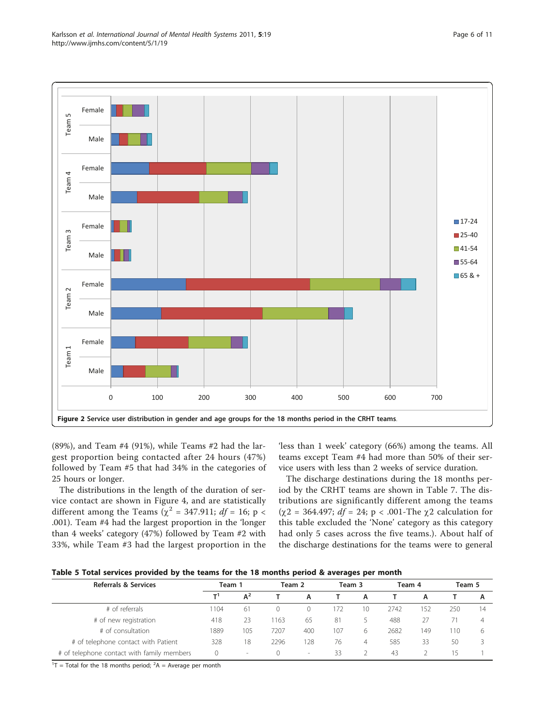<span id="page-5-0"></span>

(89%), and Team #4 (91%), while Teams #2 had the largest proportion being contacted after 24 hours (47%) followed by Team #5 that had 34% in the categories of 25 hours or longer.

The distributions in the length of the duration of service contact are shown in Figure [4,](#page-7-0) and are statistically different among the Teams ( $\chi^2$  = 347.911; *df* = 16; p < .001). Team #4 had the largest proportion in the 'longer than 4 weeks' category (47%) followed by Team #2 with 33%, while Team #3 had the largest proportion in the 'less than 1 week' category (66%) among the teams. All teams except Team #4 had more than 50% of their service users with less than 2 weeks of service duration.

The discharge destinations during the 18 months period by the CRHT teams are shown in Table [7.](#page-7-0) The distributions are significantly different among the teams  $(\chi 2 = 364.497; df = 24; p < .001$ -The  $\chi 2$  calculation for this table excluded the 'None' category as this category had only 5 cases across the five teams.). About half of the discharge destinations for the teams were to general

Table 5 Total services provided by the teams for the 18 months period & averages per month

| Referrals & Services                       | Team 1 |        | Team 2 |                          | Team 3 |    | Team 4 |     | Team 5 |                |
|--------------------------------------------|--------|--------|--------|--------------------------|--------|----|--------|-----|--------|----------------|
|                                            | T,     | $A^2$  |        | А                        |        | A  |        | А   |        | А              |
| # of referrals                             | 1104   | 61     |        |                          | 172    | 10 | 2742   | 152 | 250    | 14             |
| # of new registration                      | 418    | 23     | 163    | 65                       | 81     | 5  | 488    |     |        | $\overline{A}$ |
| # of consultation                          | 1889   | 105    | 7207   | 400                      | 107    | 6  | 2682   | 149 | i 10   | 6              |
| # of telephone contact with Patient        | 328    | 18     | 2296   | 128                      | 76     | 4  | 585    | 33  | 50     |                |
| # of telephone contact with family members | 0      | $\sim$ | 0      | $\overline{\phantom{0}}$ | 33     |    | 43     |     | 15     |                |

<sup>1</sup>T = Total for the 18 months period;  $^2A$  = Average per month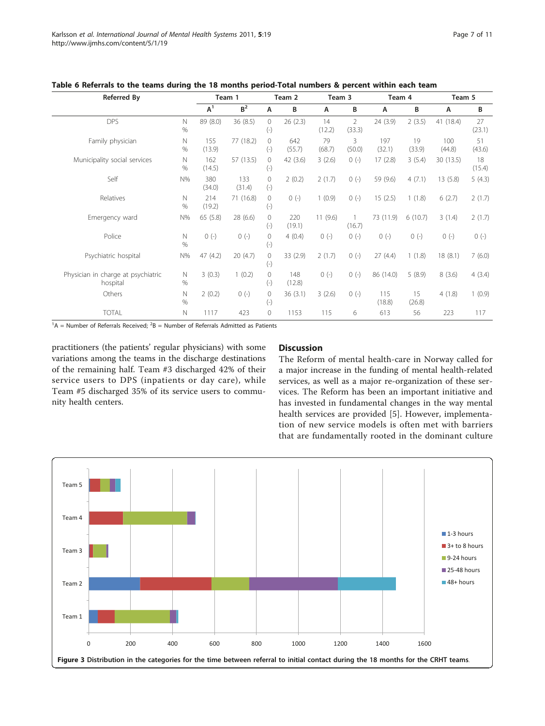<span id="page-6-0"></span>

| <b>Referred By</b>                             |           | Team 1<br>Team 2 |                |                   |               | Team 3       |                          | Team 4        | Team 5       |               |              |
|------------------------------------------------|-----------|------------------|----------------|-------------------|---------------|--------------|--------------------------|---------------|--------------|---------------|--------------|
|                                                |           | A <sup>1</sup>   | B <sup>2</sup> | A                 | В             | A            | В                        | A             | В            | А             | В            |
| <b>DPS</b>                                     | N<br>$\%$ | 89 (8.0)         | 36(8.5)        | 0<br>$(-)$        | 26(2.3)       | 14<br>(12.2) | $\overline{2}$<br>(33.3) | 24 (3.9)      | 2(3.5)       | 41 (18.4)     | 27<br>(23.1) |
| Family physician                               | N<br>%    | 155<br>(13.9)    | 77 (18.2)      | $\Omega$<br>$(-)$ | 642<br>(55.7) | 79<br>(68.7) | 3<br>(50.0)              | 197<br>(32.1) | 19<br>(33.9) | 100<br>(44.8) | 51<br>(43.6) |
| Municipality social services                   | N<br>$\%$ | 162<br>(14.5)    | 57 (13.5)      | 0<br>$(-)$        | 42(3.6)       | 3(2.6)       | $0(-)$                   | 17(2.8)       | 3(5.4)       | 30 (13.5)     | 18<br>(15.4) |
| Self                                           | N%        | 380<br>(34.0)    | 133<br>(31.4)  | 0<br>$(-)$        | 2(0.2)        | 2(1.7)       | $0(-)$                   | 59 (9.6)      | 4(7.1)       | 13(5.8)       | 5(4.3)       |
| Relatives                                      | N<br>%    | 214<br>(19.2)    | 71 (16.8)      | 0<br>$(-)$        | $0(-)$        | 1(0.9)       | $0(-)$                   | 15(2.5)       | 1(1.8)       | 6(2.7)        | 2(1.7)       |
| Emergency ward                                 | N%        | 65(5.8)          | 28(6.6)        | $\Omega$<br>$(-)$ | 220<br>(19.1) | 11(9.6)      | (16.7)                   | 73 (11.9)     | 6(10.7)      | 3(1.4)        | 2(1.7)       |
| Police                                         | N<br>$\%$ | $0(-)$           | $0(-)$         | 0<br>$(-)$        | 4(0.4)        | $0(-)$       | $0(-)$                   | $0(-)$        | $0(-)$       | $0(-)$        | $( - )$      |
| Psychiatric hospital                           | N%        | 47(4.2)          | 20(4.7)        | 0<br>$(-)$        | 33(2.9)       | 2(1.7)       | $0(-)$                   | 27(4.4)       | 1(1.8)       | 18(8.1)       | 7(6.0)       |
| Physician in charge at psychiatric<br>hospital | N<br>$\%$ | 3(0.3)           | 1(0.2)         | 0<br>$(-)$        | 148<br>(12.8) | $0(-)$       | $0(-)$                   | 86 (14.0)     | 5(8.9)       | 8(3.6)        | 4(3.4)       |
| Others                                         | N<br>$\%$ | 2(0.2)           | $0(-)$         | 0<br>$(-)$        | 36(3.1)       | 3(2.6)       | $0(-)$                   | 115<br>(18.8) | 15<br>(26.8) | 4(1.8)        | 1(0.9)       |
| <b>TOTAL</b>                                   | N         | 1117             | 423            | 0                 | 1153          | 115          | 6                        | 613           | 56           | 223           | 117          |

 ${}^{1}$ A = Number of Referrals Received;  ${}^{2}$ B = Number of Referrals Admitted as Patients

practitioners (the patients' regular physicians) with some variations among the teams in the discharge destinations of the remaining half. Team #3 discharged 42% of their service users to DPS (inpatients or day care), while Team #5 discharged 35% of its service users to community health centers.

## **Discussion**

The Reform of mental health-care in Norway called for a major increase in the funding of mental health-related services, as well as a major re-organization of these services. The Reform has been an important initiative and has invested in fundamental changes in the way mental health services are provided [[5\]](#page-10-0). However, implementation of new service models is often met with barriers that are fundamentally rooted in the dominant culture

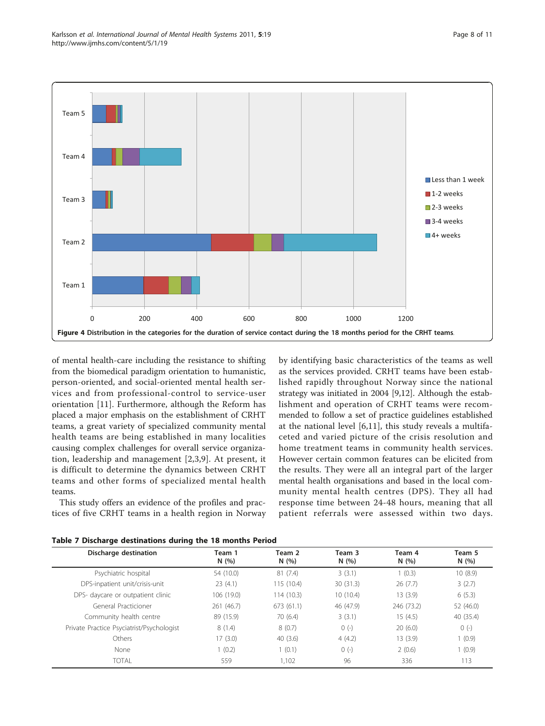<span id="page-7-0"></span>

of mental health-care including the resistance to shifting from the biomedical paradigm orientation to humanistic, person-oriented, and social-oriented mental health services and from professional-control to service-user orientation [\[11](#page-10-0)]. Furthermore, although the Reform has placed a major emphasis on the establishment of CRHT teams, a great variety of specialized community mental health teams are being established in many localities causing complex challenges for overall service organization, leadership and management [\[2](#page-10-0),[3,9\]](#page-10-0). At present, it is difficult to determine the dynamics between CRHT teams and other forms of specialized mental health teams.

This study offers an evidence of the profiles and practices of five CRHT teams in a health region in Norway

by identifying basic characteristics of the teams as well as the services provided. CRHT teams have been established rapidly throughout Norway since the national strategy was initiated in 2004 [\[9,12](#page-10-0)]. Although the establishment and operation of CRHT teams were recommended to follow a set of practice guidelines established at the national level [\[6,11](#page-10-0)], this study reveals a multifaceted and varied picture of the crisis resolution and home treatment teams in community health services. However certain common features can be elicited from the results. They were all an integral part of the larger mental health organisations and based in the local community mental health centres (DPS). They all had response time between 24-48 hours, meaning that all patient referrals were assessed within two days.

|  |  | Table 7 Discharge destinations during the 18 months Period |  |  |  |  |
|--|--|------------------------------------------------------------|--|--|--|--|
|--|--|------------------------------------------------------------|--|--|--|--|

| Discharge destination                     | Team 1<br>N(%) | Team 2<br>N(%) | Team 3<br>N(%) | Team 4<br>N(%) | Team 5<br>N(%) |
|-------------------------------------------|----------------|----------------|----------------|----------------|----------------|
| Psychiatric hospital                      | 54 (10.0)      | 81(7.4)        | 3(3.1)         | 1(0.3)         | 10(8.9)        |
| DPS-inpatient unit/crisis-unit            | 23(4.1)        | 115(10.4)      | 30(31.3)       | 26(7.7)        | 3(2.7)         |
| DPS- daycare or outpatient clinic         | 106 (19.0)     | 114 (10.3)     | 10(10.4)       | 13(3.9)        | 6(5.3)         |
| General Practicioner                      | 261 (46.7)     | 673(61.1)      | 46 (47.9)      | 246 (73.2)     | 52 (46.0)      |
| Community health centre                   | 89 (15.9)      | 70(6.4)        | 3(3.1)         | 15(4.5)        | 40 (35.4)      |
| Private Practice Psyciatrist/Psychologist | 8(1.4)         | 8(0.7)         | $0(-)$         | 20(6.0)        | $0(-)$         |
| Others                                    | 17(3.0)        | 40(3.6)        | 4(4.2)         | 13(3.9)        | 1(0.9)         |
| None                                      | (0.2)          | 1(0.1)         | $0(-)$         | 2(0.6)         | 1(0.9)         |
| <b>TOTAL</b>                              | 559            | 1,102          | 96             | 336            | 113            |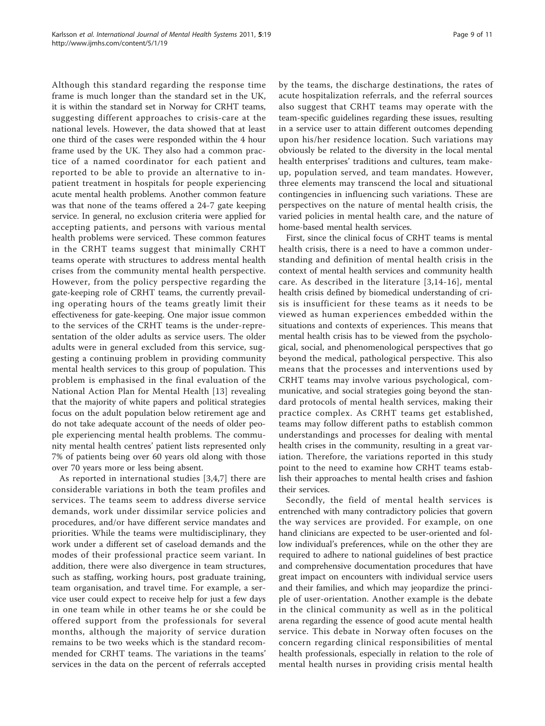Page 9 of 11

Although this standard regarding the response time frame is much longer than the standard set in the UK, it is within the standard set in Norway for CRHT teams, suggesting different approaches to crisis-care at the national levels. However, the data showed that at least one third of the cases were responded within the 4 hour frame used by the UK. They also had a common practice of a named coordinator for each patient and reported to be able to provide an alternative to inpatient treatment in hospitals for people experiencing acute mental health problems. Another common feature was that none of the teams offered a 24-7 gate keeping service. In general, no exclusion criteria were applied for accepting patients, and persons with various mental health problems were serviced. These common features in the CRHT teams suggest that minimally CRHT teams operate with structures to address mental health crises from the community mental health perspective. However, from the policy perspective regarding the gate-keeping role of CRHT teams, the currently prevailing operating hours of the teams greatly limit their effectiveness for gate-keeping. One major issue common to the services of the CRHT teams is the under-representation of the older adults as service users. The older adults were in general excluded from this service, suggesting a continuing problem in providing community mental health services to this group of population. This problem is emphasised in the final evaluation of the National Action Plan for Mental Health [[13\]](#page-10-0) revealing that the majority of white papers and political strategies focus on the adult population below retirement age and do not take adequate account of the needs of older people experiencing mental health problems. The community mental health centres' patient lists represented only 7% of patients being over 60 years old along with those over 70 years more or less being absent.

As reported in international studies [[3,4,7](#page-10-0)] there are considerable variations in both the team profiles and services. The teams seem to address diverse service demands, work under dissimilar service policies and procedures, and/or have different service mandates and priorities. While the teams were multidisciplinary, they work under a different set of caseload demands and the modes of their professional practice seem variant. In addition, there were also divergence in team structures, such as staffing, working hours, post graduate training, team organisation, and travel time. For example, a service user could expect to receive help for just a few days in one team while in other teams he or she could be offered support from the professionals for several months, although the majority of service duration remains to be two weeks which is the standard recommended for CRHT teams. The variations in the teams' services in the data on the percent of referrals accepted by the teams, the discharge destinations, the rates of acute hospitalization referrals, and the referral sources also suggest that CRHT teams may operate with the team-specific guidelines regarding these issues, resulting in a service user to attain different outcomes depending upon his/her residence location. Such variations may obviously be related to the diversity in the local mental health enterprises' traditions and cultures, team makeup, population served, and team mandates. However, three elements may transcend the local and situational contingencies in influencing such variations. These are perspectives on the nature of mental health crisis, the varied policies in mental health care, and the nature of home-based mental health services.

First, since the clinical focus of CRHT teams is mental health crisis, there is a need to have a common understanding and definition of mental health crisis in the context of mental health services and community health care. As described in the literature [[3,14-16](#page-10-0)], mental health crisis defined by biomedical understanding of crisis is insufficient for these teams as it needs to be viewed as human experiences embedded within the situations and contexts of experiences. This means that mental health crisis has to be viewed from the psychological, social, and phenomenological perspectives that go beyond the medical, pathological perspective. This also means that the processes and interventions used by CRHT teams may involve various psychological, communicative, and social strategies going beyond the standard protocols of mental health services, making their practice complex. As CRHT teams get established, teams may follow different paths to establish common understandings and processes for dealing with mental health crises in the community, resulting in a great variation. Therefore, the variations reported in this study point to the need to examine how CRHT teams establish their approaches to mental health crises and fashion their services.

Secondly, the field of mental health services is entrenched with many contradictory policies that govern the way services are provided. For example, on one hand clinicians are expected to be user-oriented and follow individual's preferences, while on the other they are required to adhere to national guidelines of best practice and comprehensive documentation procedures that have great impact on encounters with individual service users and their families, and which may jeopardize the principle of user-orientation. Another example is the debate in the clinical community as well as in the political arena regarding the essence of good acute mental health service. This debate in Norway often focuses on the concern regarding clinical responsibilities of mental health professionals, especially in relation to the role of mental health nurses in providing crisis mental health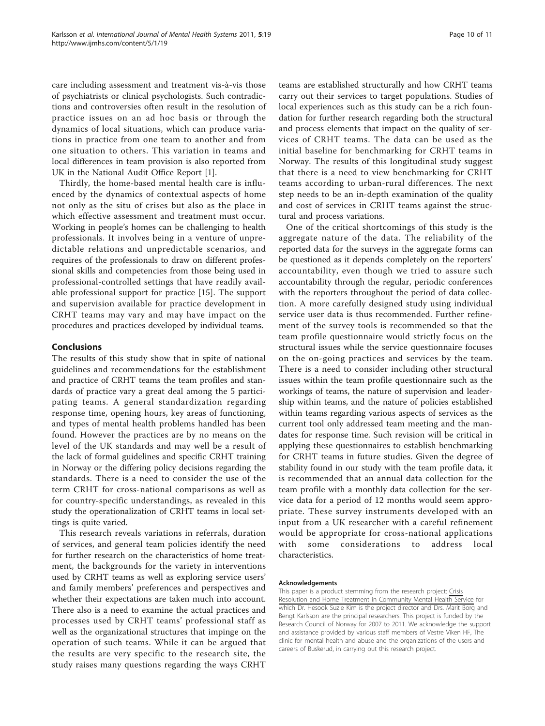care including assessment and treatment vis-à-vis those of psychiatrists or clinical psychologists. Such contradictions and controversies often result in the resolution of practice issues on an ad hoc basis or through the dynamics of local situations, which can produce variations in practice from one team to another and from one situation to others. This variation in teams and local differences in team provision is also reported from

UK in the National Audit Office Report [[1\]](#page-10-0). Thirdly, the home-based mental health care is influenced by the dynamics of contextual aspects of home not only as the situ of crises but also as the place in which effective assessment and treatment must occur. Working in people's homes can be challenging to health professionals. It involves being in a venture of unpredictable relations and unpredictable scenarios, and requires of the professionals to draw on different professional skills and competencies from those being used in professional-controlled settings that have readily available professional support for practice [[15\]](#page-10-0). The support and supervision available for practice development in CRHT teams may vary and may have impact on the procedures and practices developed by individual teams.

# Conclusions

The results of this study show that in spite of national guidelines and recommendations for the establishment and practice of CRHT teams the team profiles and standards of practice vary a great deal among the 5 participating teams. A general standardization regarding response time, opening hours, key areas of functioning, and types of mental health problems handled has been found. However the practices are by no means on the level of the UK standards and may well be a result of the lack of formal guidelines and specific CRHT training in Norway or the differing policy decisions regarding the standards. There is a need to consider the use of the term CRHT for cross-national comparisons as well as for country-specific understandings, as revealed in this study the operationalization of CRHT teams in local settings is quite varied.

This research reveals variations in referrals, duration of services, and general team policies identify the need for further research on the characteristics of home treatment, the backgrounds for the variety in interventions used by CRHT teams as well as exploring service users' and family members' preferences and perspectives and whether their expectations are taken much into account. There also is a need to examine the actual practices and processes used by CRHT teams' professional staff as well as the organizational structures that impinge on the operation of such teams. While it can be argued that the results are very specific to the research site, the study raises many questions regarding the ways CRHT

teams are established structurally and how CRHT teams carry out their services to target populations. Studies of local experiences such as this study can be a rich foundation for further research regarding both the structural and process elements that impact on the quality of services of CRHT teams. The data can be used as the initial baseline for benchmarking for CRHT teams in Norway. The results of this longitudinal study suggest that there is a need to view benchmarking for CRHT teams according to urban-rural differences. The next step needs to be an in-depth examination of the quality and cost of services in CRHT teams against the structural and process variations.

One of the critical shortcomings of this study is the aggregate nature of the data. The reliability of the reported data for the surveys in the aggregate forms can be questioned as it depends completely on the reporters' accountability, even though we tried to assure such accountability through the regular, periodic conferences with the reporters throughout the period of data collection. A more carefully designed study using individual service user data is thus recommended. Further refinement of the survey tools is recommended so that the team profile questionnaire would strictly focus on the structural issues while the service questionnaire focuses on the on-going practices and services by the team. There is a need to consider including other structural issues within the team profile questionnaire such as the workings of teams, the nature of supervision and leadership within teams, and the nature of policies established within teams regarding various aspects of services as the current tool only addressed team meeting and the mandates for response time. Such revision will be critical in applying these questionnaires to establish benchmarking for CRHT teams in future studies. Given the degree of stability found in our study with the team profile data, it is recommended that an annual data collection for the team profile with a monthly data collection for the service data for a period of 12 months would seem appropriate. These survey instruments developed with an input from a UK researcher with a careful refinement would be appropriate for cross-national applications with some considerations to address local characteristics.

#### Acknowledgements

This paper is a product stemming from the research project: Crisis Resolution and Home Treatment in Community Mental Health Service for which Dr. Hesook Suzie Kim is the project director and Drs. Marit Borg and Bengt Karlsson are the principal researchers. This project is funded by the Research Council of Norway for 2007 to 2011. We acknowledge the support and assistance provided by various staff members of Vestre Viken HF, The clinic for mental health and abuse and the organizations of the users and careers of Buskerud, in carrying out this research project.